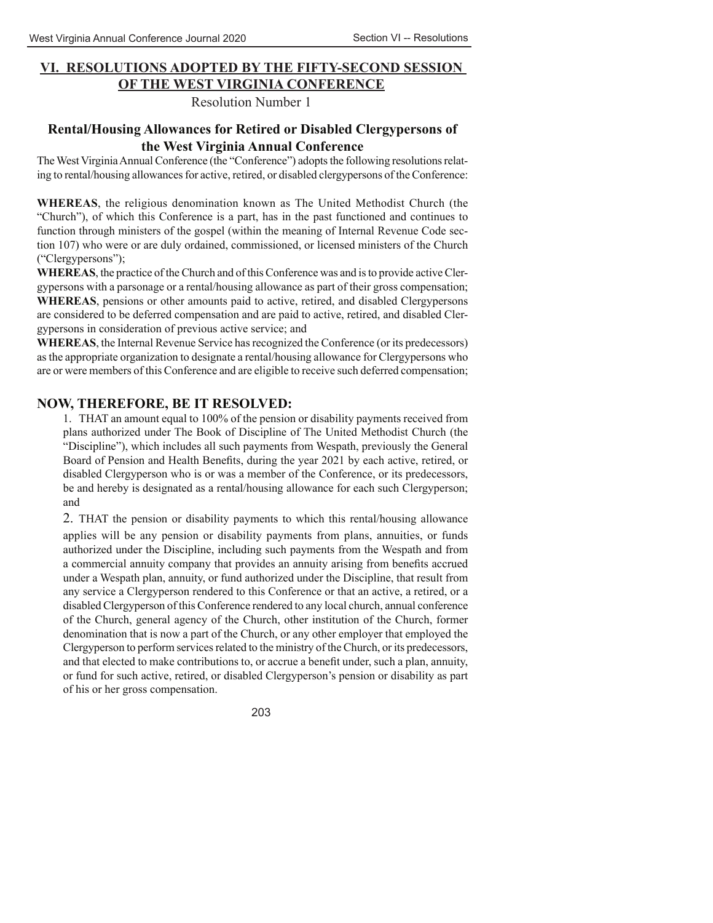## **VI. RESOLUTIONS ADOPTED BY THE FIFTY-SECOND SESSION OF THE WEST VIRGINIA CONFERENCE**

Resolution Number 1

## **Rental/Housing Allowances for Retired or Disabled Clergypersons of the West Virginia Annual Conference**

The West Virginia Annual Conference (the "Conference") adopts the following resolutions relating to rental/housing allowances for active, retired, or disabled clergypersons of the Conference:

**WHEREAS**, the religious denomination known as The United Methodist Church (the "Church"), of which this Conference is a part, has in the past functioned and continues to function through ministers of the gospel (within the meaning of Internal Revenue Code section 107) who were or are duly ordained, commissioned, or licensed ministers of the Church ("Clergypersons");

**WHEREAS**, the practice of the Church and of this Conference was and is to provide active Clergypersons with a parsonage or a rental/housing allowance as part of their gross compensation; **WHEREAS**, pensions or other amounts paid to active, retired, and disabled Clergypersons are considered to be deferred compensation and are paid to active, retired, and disabled Clergypersons in consideration of previous active service; and

**WHEREAS**, the Internal Revenue Service has recognized the Conference (or its predecessors) as the appropriate organization to designate a rental/housing allowance for Clergypersons who are or were members of this Conference and are eligible to receive such deferred compensation;

## **NOW, THEREFORE, BE IT RESOLVED:**

1. THAT an amount equal to 100% of the pension or disability payments received from plans authorized under The Book of Discipline of The United Methodist Church (the "Discipline"), which includes all such payments from Wespath, previously the General Board of Pension and Health Benefits, during the year 2021 by each active, retired, or disabled Clergyperson who is or was a member of the Conference, or its predecessors, be and hereby is designated as a rental/housing allowance for each such Clergyperson; and

2. THAT the pension or disability payments to which this rental/housing allowance applies will be any pension or disability payments from plans, annuities, or funds authorized under the Discipline, including such payments from the Wespath and from a commercial annuity company that provides an annuity arising from benefits accrued under a Wespath plan, annuity, or fund authorized under the Discipline, that result from any service a Clergyperson rendered to this Conference or that an active, a retired, or a disabled Clergyperson of this Conference rendered to any local church, annual conference of the Church, general agency of the Church, other institution of the Church, former denomination that is now a part of the Church, or any other employer that employed the Clergyperson to perform services related to the ministry of the Church, or its predecessors, and that elected to make contributions to, or accrue a benefit under, such a plan, annuity, or fund for such active, retired, or disabled Clergyperson's pension or disability as part of his or her gross compensation.